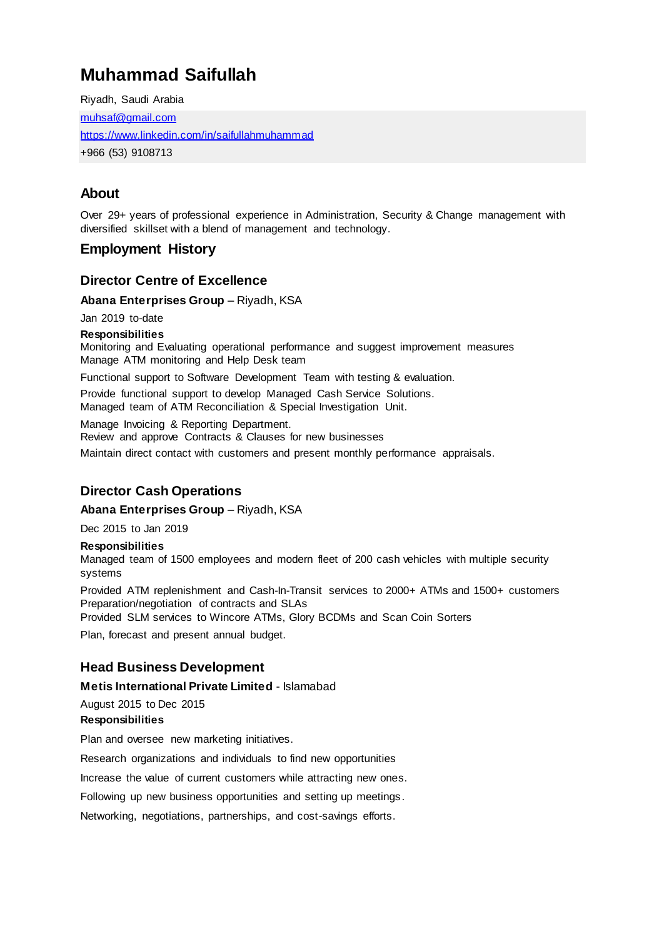# **Muhammad Saifullah**

Riyadh, Saudi Arabia [muhsaf@gmail.com](mailto:muhsaf@gmail.com) <https://www.linkedin.com/in/saifullahmuhammad> +966 (53) 9108713

# **About**

Over 29+ years of professional experience in Administration, Security & Change management with diversified skillset with a blend of management and technology.

# **Employment History**

## **Director Centre of Excellence**

**Abana Enterprises Group** – Riyadh, KSA

Jan 2019 to-date

### **Responsibilities**

Monitoring and Evaluating operational performance and suggest improvement measures Manage ATM monitoring and Help Desk team

Functional support to Software Development Team with testing & evaluation.

Provide functional support to develop Managed Cash Service Solutions. Managed team of ATM Reconciliation & Special Investigation Unit.

Manage Invoicing & Reporting Department.

Review and approve Contracts & Clauses for new businesses

Maintain direct contact with customers and present monthly performance appraisals.

# **Director Cash Operations**

**Abana Enterprises Group** – Riyadh, KSA

Dec 2015 to Jan 2019

#### **Responsibilities**

Managed team of 1500 employees and modern fleet of 200 cash vehicles with multiple security systems

Provided ATM replenishment and Cash-In-Transit services to 2000+ ATMs and 1500+ customers Preparation/negotiation of contracts and SLAs

Provided SLM services to Wincore ATMs, Glory BCDMs and Scan Coin Sorters

Plan, forecast and present annual budget.

## **Head Business Development**

### **Metis International Private Limited** - Islamabad

August 2015 to Dec 2015

#### **Responsibilities**

Plan and oversee new marketing initiatives.

Research organizations and individuals to find new opportunities

Increase the value of current customers while attracting new ones.

Following up new business opportunities and setting up meetings.

Networking, negotiations, partnerships, and cost-savings efforts.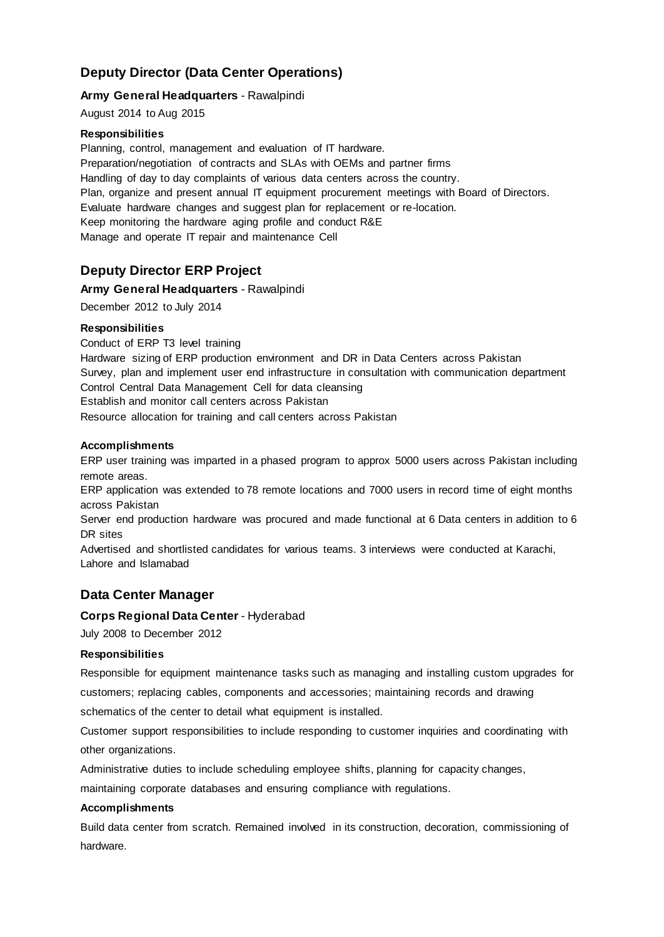# **Deputy Director (Data Center Operations)**

### **Army General Headquarters** - Rawalpindi

August 2014 to Aug 2015

#### **Responsibilities**

Planning, control, management and evaluation of IT hardware. Preparation/negotiation of contracts and SLAs with OEMs and partner firms Handling of day to day complaints of various data centers across the country. Plan, organize and present annual IT equipment procurement meetings with Board of Directors. Evaluate hardware changes and suggest plan for replacement or re-location. Keep monitoring the hardware aging profile and conduct R&E Manage and operate IT repair and maintenance Cell

# **Deputy Director ERP Project**

#### **Army General Headquarters** - Rawalpindi

December 2012 to July 2014

#### **Responsibilities**

Conduct of ERP T3 level training

Hardware sizing of ERP production environment and DR in Data Centers across Pakistan Survey, plan and implement user end infrastructure in consultation with communication department Control Central Data Management Cell for data cleansing

Establish and monitor call centers across Pakistan

Resource allocation for training and call centers across Pakistan

#### **Accomplishments**

ERP user training was imparted in a phased program to approx 5000 users across Pakistan including remote areas.

ERP application was extended to 78 remote locations and 7000 users in record time of eight months across Pakistan

Server end production hardware was procured and made functional at 6 Data centers in addition to 6 DR sites

Advertised and shortlisted candidates for various teams. 3 interviews were conducted at Karachi, Lahore and Islamabad

# **Data Center Manager**

#### **Corps Regional Data Center** - Hyderabad

July 2008 to December 2012

#### **Responsibilities**

Responsible for equipment maintenance tasks such as managing and installing custom upgrades for

customers; replacing cables, components and accessories; maintaining records and drawing

schematics of the center to detail what equipment is installed.

Customer support responsibilities to include responding to customer inquiries and coordinating with other organizations.

Administrative duties to include scheduling employee shifts, planning for capacity changes,

maintaining corporate databases and ensuring compliance with regulations.

#### **Accomplishments**

Build data center from scratch. Remained involved in its construction, decoration, commissioning of hardware.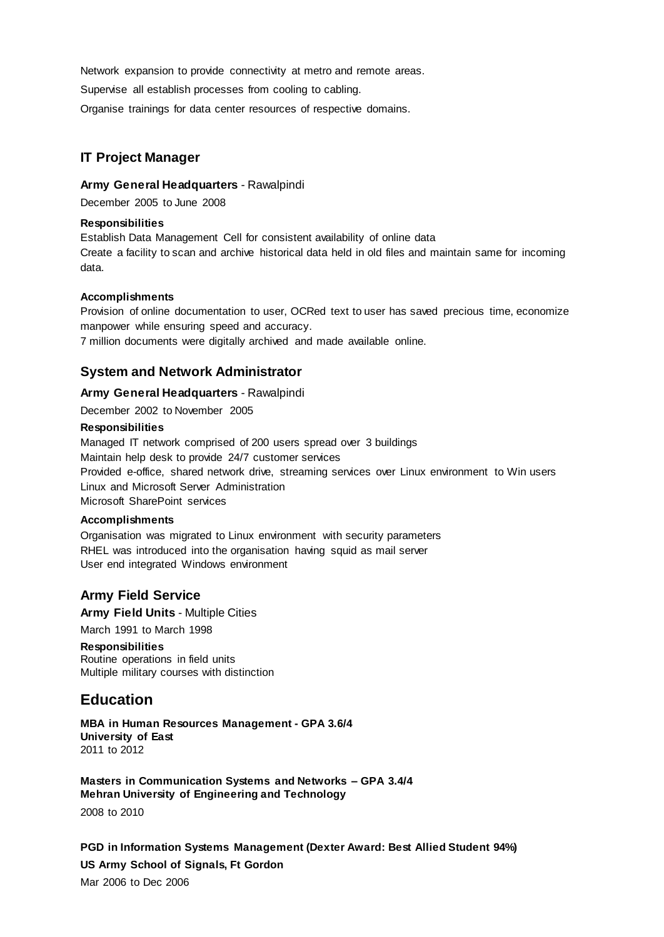Network expansion to provide connectivity at metro and remote areas.

Supervise all establish processes from cooling to cabling.

Organise trainings for data center resources of respective domains.

# **IT Project Manager**

### **Army General Headquarters** - Rawalpindi

December 2005 to June 2008

### **Responsibilities**

Establish Data Management Cell for consistent availability of online data Create a facility to scan and archive historical data held in old files and maintain same for incoming data.

### **Accomplishments**

Provision of online documentation to user, OCRed text to user has saved precious time, economize manpower while ensuring speed and accuracy.

7 million documents were digitally archived and made available online.

# **System and Network Administrator**

### **Army General Headquarters** - Rawalpindi

December 2002 to November 2005

#### **Responsibilities**

Managed IT network comprised of 200 users spread over 3 buildings Maintain help desk to provide 24/7 customer services Provided e-office, shared network drive, streaming services over Linux environment to Win users Linux and Microsoft Server Administration Microsoft SharePoint services

### **Accomplishments**

Organisation was migrated to Linux environment with security parameters RHEL was introduced into the organisation having squid as mail server User end integrated Windows environment

## **Army Field Service**

**Army Field Units** - Multiple Cities March 1991 to March 1998

### **Responsibilities**

Routine operations in field units Multiple military courses with distinction

# **Education**

**MBA in Human Resources Management - GPA 3.6/4 University of East** 2011 to 2012

**Masters in Communication Systems and Networks – GPA 3.4/4 Mehran University of Engineering and Technology** 2008 to 2010

**PGD in Information Systems Management (Dexter Award: Best Allied Student 94%) US Army School of Signals, Ft Gordon** Mar 2006 to Dec 2006